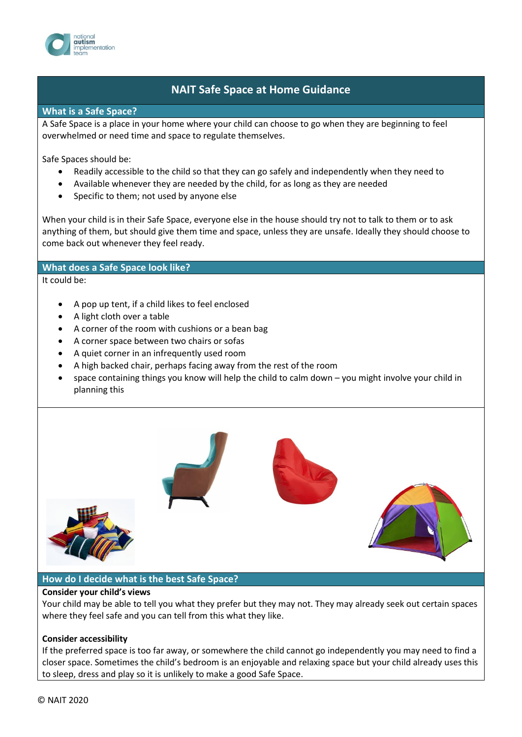

# **NAIT Safe Space at Home Guidance**

**What is a Safe Space?**

A Safe Space is a place in your home where your child can choose to go when they are beginning to feel overwhelmed or need time and space to regulate themselves.

Safe Spaces should be:

- Readily accessible to the child so that they can go safely and independently when they need to
- Available whenever they are needed by the child, for as long as they are needed
- Specific to them; not used by anyone else

When your child is in their Safe Space, everyone else in the house should try not to talk to them or to ask anything of them, but should give them time and space, unless they are unsafe. Ideally they should choose to come back out whenever they feel ready.

### **What does a Safe Space look like?**

It could be:

- A pop up tent, if a child likes to feel enclosed
- A light cloth over a table
- A corner of the room with cushions or a bean bag
- A corner space between two chairs or sofas
- A quiet corner in an infrequently used room
- A high backed chair, perhaps facing away from the rest of the room
- space containing things you know will help the child to calm down you might involve your child in planning this



#### **How do I decide what is the best Safe Space?**

#### **Consider your child's views**

Your child may be able to tell you what they prefer but they may not. They may already seek out certain spaces where they feel safe and you can tell from this what they like.

#### **Consider accessibility**

If the preferred space is too far away, or somewhere the child cannot go independently you may need to find a closer space. Sometimes the child's bedroom is an enjoyable and relaxing space but your child already uses this to sleep, dress and play so it is unlikely to make a good Safe Space.